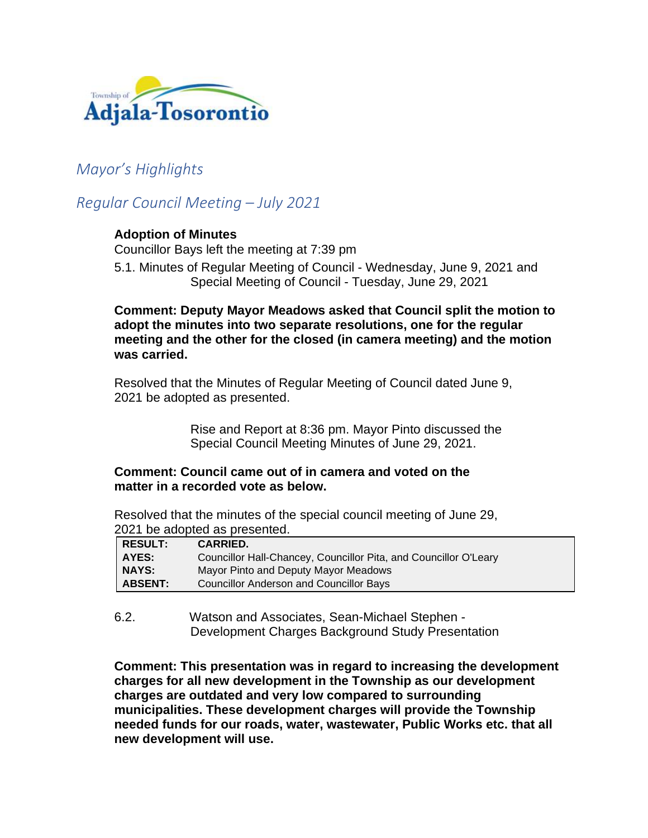

# *Mayor's Highlights*

# *Regular Council Meeting – July 2021*

## **Adoption of Minutes**

Councillor Bays left the meeting at 7:39 pm

5.1. Minutes of Regular Meeting of Council - Wednesday, June 9, 2021 and Special Meeting of Council - Tuesday, June 29, 2021

**Comment: Deputy Mayor Meadows asked that Council split the motion to adopt the minutes into two separate resolutions, one for the regular meeting and the other for the closed (in camera meeting) and the motion was carried.**

Resolved that the Minutes of Regular Meeting of Council dated June 9, 2021 be adopted as presented.

> Rise and Report at 8:36 pm. Mayor Pinto discussed the Special Council Meeting Minutes of June 29, 2021.

## **Comment: Council came out of in camera and voted on the matter in a recorded vote as below.**

Resolved that the minutes of the special council meeting of June 29, 2021 be adopted as presented.

| RESULT:        | <b>CARRIED.</b>                                                  |
|----------------|------------------------------------------------------------------|
| AYES:          | Councillor Hall-Chancey, Councillor Pita, and Councillor O'Leary |
| <b>NAYS:</b>   | Mayor Pinto and Deputy Mayor Meadows                             |
| <b>ABSENT:</b> | Councillor Anderson and Councillor Bays                          |

6.2. Watson and Associates, Sean-Michael Stephen - Development Charges Background Study Presentation

**Comment: This presentation was in regard to increasing the development charges for all new development in the Township as our development charges are outdated and very low compared to surrounding municipalities. These development charges will provide the Township needed funds for our roads, water, wastewater, Public Works etc. that all new development will use.**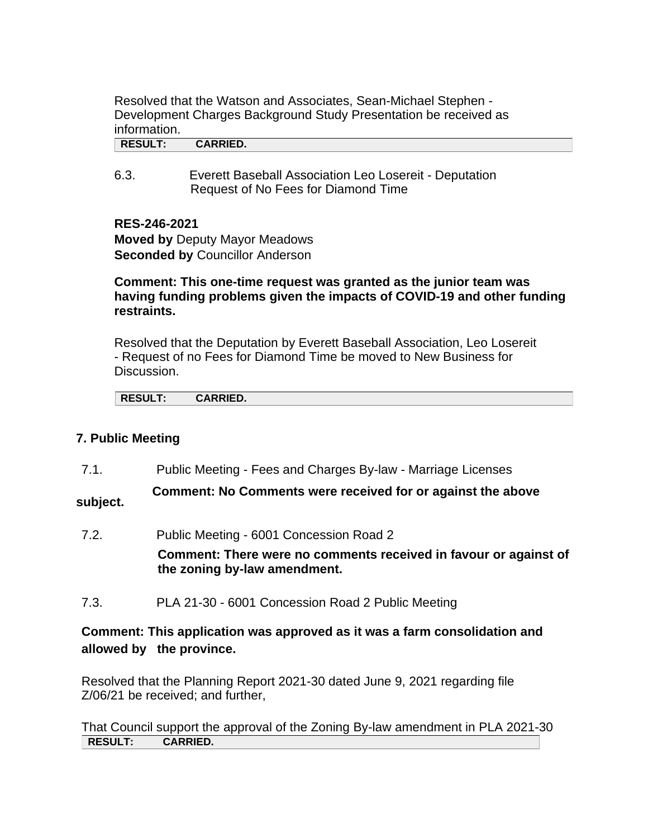Resolved that the Watson and Associates, Sean-Michael Stephen - Development Charges Background Study Presentation be received as information.

**RESULT: CARRIED.**

6.3. Everett Baseball Association Leo Losereit - Deputation Request of No Fees for Diamond Time

**RES-246-2021**

**Moved by** Deputy Mayor Meadows **Seconded by Councillor Anderson** 

## **Comment: This one-time request was granted as the junior team was having funding problems given the impacts of COVID-19 and other funding restraints.**

Resolved that the Deputation by Everett Baseball Association, Leo Losereit - Request of no Fees for Diamond Time be moved to New Business for Discussion.

| <b>RESULT:</b><br><b>CARRIED.</b> |
|-----------------------------------|

## **7. Public Meeting**

7.1. Public Meeting - Fees and Charges By-law - Marriage Licenses

**Comment: No Comments were received for or against the above subject.**

7.2. Public Meeting - 6001 Concession Road 2

**Comment: There were no comments received in favour or against of the zoning by-law amendment.**

7.3. PLA 21-30 - 6001 Concession Road 2 Public Meeting

## **Comment: This application was approved as it was a farm consolidation and allowed by the province.**

Resolved that the Planning Report 2021-30 dated June 9, 2021 regarding file Z/06/21 be received; and further,

That Council support the approval of the Zoning By-law amendment in PLA 2021-30 **RESULT: CARRIED.**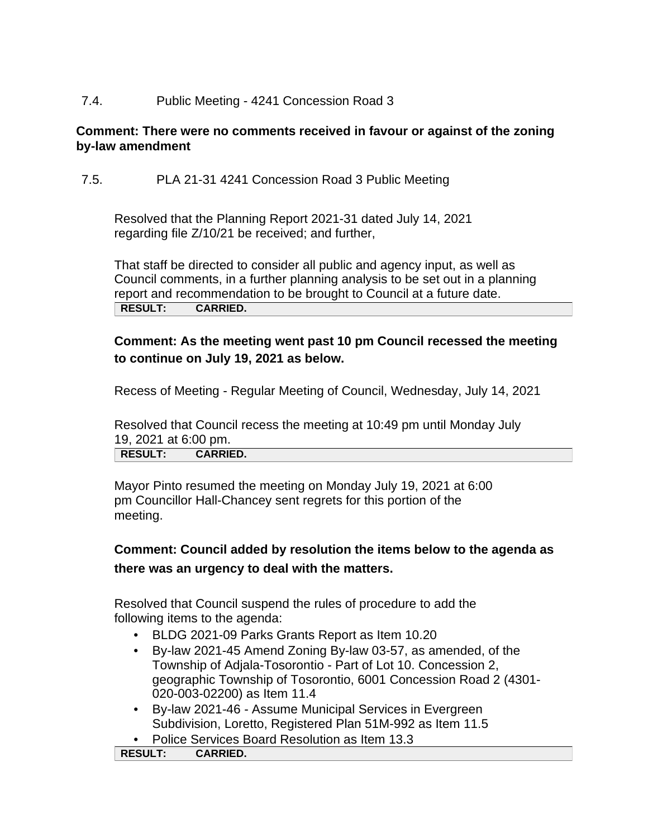## 7.4. Public Meeting - 4241 Concession Road 3

## **Comment: There were no comments received in favour or against of the zoning by-law amendment**

7.5. PLA 21-31 4241 Concession Road 3 Public Meeting

Resolved that the Planning Report 2021-31 dated July 14, 2021 regarding file Z/10/21 be received; and further,

That staff be directed to consider all public and agency input, as well as Council comments, in a further planning analysis to be set out in a planning report and recommendation to be brought to Council at a future date. **RESULT: CARRIED.**

# **Comment: As the meeting went past 10 pm Council recessed the meeting to continue on July 19, 2021 as below.**

Recess of Meeting - Regular Meeting of Council, Wednesday, July 14, 2021

Resolved that Council recess the meeting at 10:49 pm until Monday July 19, 2021 at 6:00 pm.<br>**RESULT:** CARRIE

**RESULT: CARRIED.**

Mayor Pinto resumed the meeting on Monday July 19, 2021 at 6:00 pm Councillor Hall-Chancey sent regrets for this portion of the meeting.

# **Comment: Council added by resolution the items below to the agenda as there was an urgency to deal with the matters.**

Resolved that Council suspend the rules of procedure to add the following items to the agenda:

- BLDG 2021-09 Parks Grants Report as Item 10.20
- By-law 2021-45 Amend Zoning By-law 03-57, as amended, of the Township of Adjala-Tosorontio - Part of Lot 10. Concession 2, geographic Township of Tosorontio, 6001 Concession Road 2 (4301- 020-003-02200) as Item 11.4
- By-law 2021-46 Assume Municipal Services in Evergreen Subdivision, Loretto, Registered Plan 51M-992 as Item 11.5
- Police Services Board Resolution as Item 13.3

**RESULT: CARRIED.**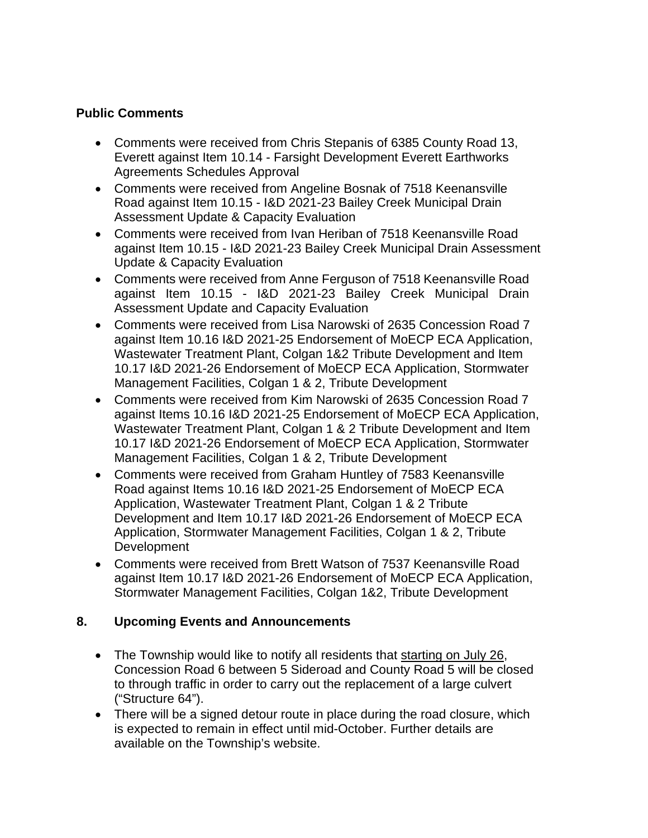## **Public Comments**

- Comments were received from Chris Stepanis of 6385 County Road 13, Everett against Item 10.14 - Farsight Development Everett Earthworks Agreements Schedules Approval
- Comments were received from Angeline Bosnak of 7518 Keenansville Road against Item 10.15 - I&D 2021-23 Bailey Creek Municipal Drain Assessment Update & Capacity Evaluation
- Comments were received from Ivan Heriban of 7518 Keenansville Road against Item 10.15 - I&D 2021-23 Bailey Creek Municipal Drain Assessment Update & Capacity Evaluation
- Comments were received from Anne Ferguson of 7518 Keenansville Road against Item 10.15 - I&D 2021-23 Bailey Creek Municipal Drain Assessment Update and Capacity Evaluation
- Comments were received from Lisa Narowski of 2635 Concession Road 7 against Item 10.16 I&D 2021-25 Endorsement of MoECP ECA Application, Wastewater Treatment Plant, Colgan 1&2 Tribute Development and Item 10.17 I&D 2021-26 Endorsement of MoECP ECA Application, Stormwater Management Facilities, Colgan 1 & 2, Tribute Development
- Comments were received from Kim Narowski of 2635 Concession Road 7 against Items 10.16 I&D 2021-25 Endorsement of MoECP ECA Application, Wastewater Treatment Plant, Colgan 1 & 2 Tribute Development and Item 10.17 I&D 2021-26 Endorsement of MoECP ECA Application, Stormwater Management Facilities, Colgan 1 & 2, Tribute Development
- Comments were received from Graham Huntley of 7583 Keenansville Road against Items 10.16 I&D 2021-25 Endorsement of MoECP ECA Application, Wastewater Treatment Plant, Colgan 1 & 2 Tribute Development and Item 10.17 I&D 2021-26 Endorsement of MoECP ECA Application, Stormwater Management Facilities, Colgan 1 & 2, Tribute **Development**
- Comments were received from Brett Watson of 7537 Keenansville Road against Item 10.17 I&D 2021-26 Endorsement of MoECP ECA Application, Stormwater Management Facilities, Colgan 1&2, Tribute Development

# **8. Upcoming Events and Announcements**

- The Township would like to notify all residents that starting on July 26, Concession Road 6 between 5 Sideroad and County Road 5 will be closed to through traffic in order to carry out the replacement of a large culvert ("Structure 64").
- There will be a signed detour route in place during the road closure, which is expected to remain in effect until mid-October. Further details are available on the Township's website.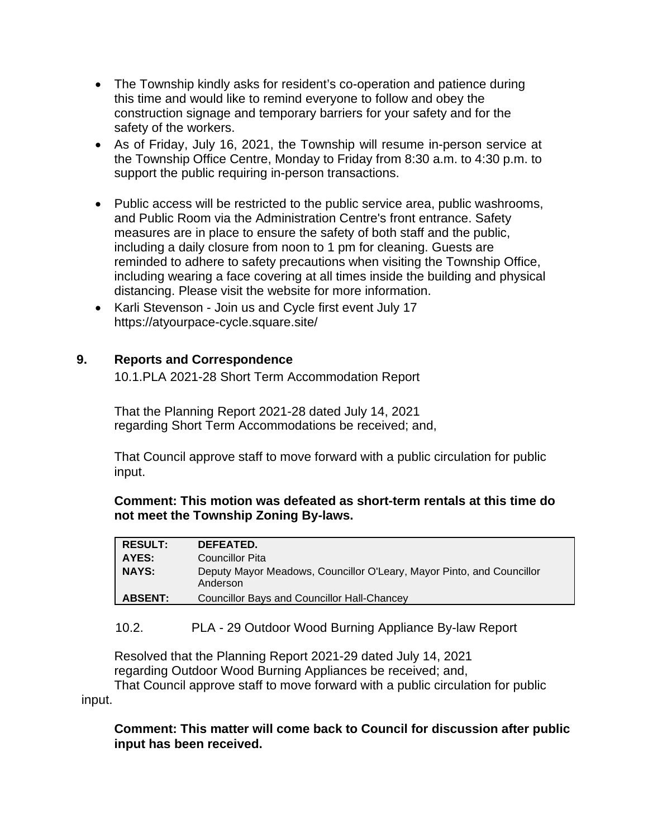- The Township kindly asks for resident's co-operation and patience during this time and would like to remind everyone to follow and obey the construction signage and temporary barriers for your safety and for the safety of the workers.
- As of Friday, July 16, 2021, the Township will resume in-person service at the Township Office Centre, Monday to Friday from 8:30 a.m. to 4:30 p.m. to support the public requiring in-person transactions.
- Public access will be restricted to the public service area, public washrooms, and Public Room via the Administration Centre's front entrance. Safety measures are in place to ensure the safety of both staff and the public, including a daily closure from noon to 1 pm for cleaning. Guests are reminded to adhere to safety precautions when visiting the Township Office, including wearing a face covering at all times inside the building and physical distancing. Please visit the website for more information.
- Karli Stevenson Join us and Cycle first event July 17 https://atyourpace-cycle.square.site/

# **9. Reports and Correspondence**

10.1.PLA 2021-28 Short Term Accommodation Report

That the Planning Report 2021-28 dated July 14, 2021 regarding Short Term Accommodations be received; and,

That Council approve staff to move forward with a public circulation for public input.

## **Comment: This motion was defeated as short-term rentals at this time do not meet the Township Zoning By-laws.**

| <b>RESULT:</b> | DEFEATED.                                                                         |
|----------------|-----------------------------------------------------------------------------------|
| AYES:          | <b>Councillor Pita</b>                                                            |
| <b>NAYS:</b>   | Deputy Mayor Meadows, Councillor O'Leary, Mayor Pinto, and Councillor<br>Anderson |
| <b>ABSENT:</b> | <b>Councillor Bays and Councillor Hall-Chancey</b>                                |

# 10.2. PLA - 29 Outdoor Wood Burning Appliance By-law Report

Resolved that the Planning Report 2021-29 dated July 14, 2021 regarding Outdoor Wood Burning Appliances be received; and,

That Council approve staff to move forward with a public circulation for public input.

**Comment: This matter will come back to Council for discussion after public input has been received.**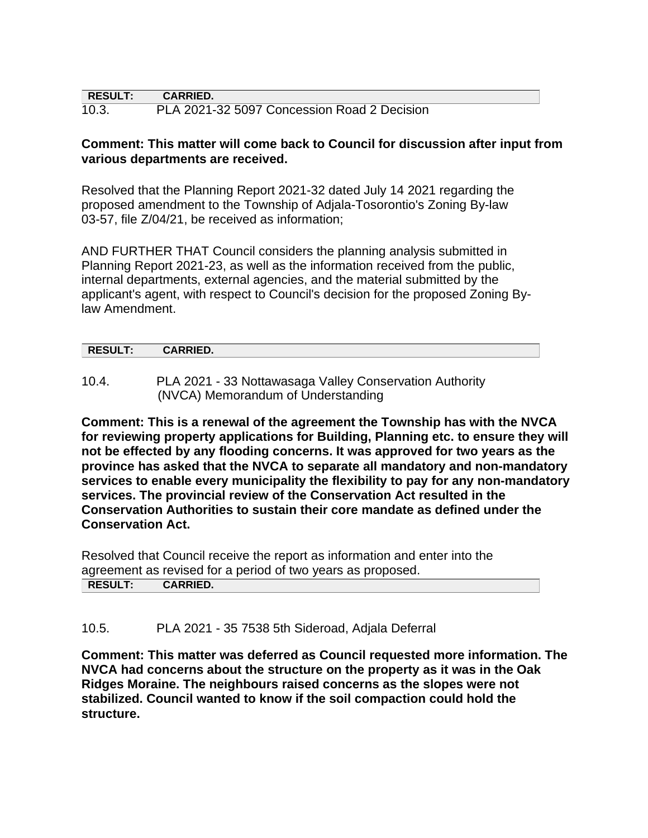| $\mid$ RESULT: | <b>CARRIED.</b>                             |  |
|----------------|---------------------------------------------|--|
| 10.3.          | PLA 2021-32 5097 Concession Road 2 Decision |  |

## **Comment: This matter will come back to Council for discussion after input from various departments are received.**

Resolved that the Planning Report 2021-32 dated July 14 2021 regarding the proposed amendment to the Township of Adjala-Tosorontio's Zoning By-law 03-57, file Z/04/21, be received as information;

AND FURTHER THAT Council considers the planning analysis submitted in Planning Report 2021-23, as well as the information received from the public, internal departments, external agencies, and the material submitted by the applicant's agent, with respect to Council's decision for the proposed Zoning Bylaw Amendment.

| P<br><b>INLOULI.</b> | <b>ADDIEN</b><br><b>VAINNIED.</b> |  |
|----------------------|-----------------------------------|--|
|                      |                                   |  |

10.4. PLA 2021 - 33 Nottawasaga Valley Conservation Authority (NVCA) Memorandum of Understanding

**Comment: This is a renewal of the agreement the Township has with the NVCA for reviewing property applications for Building, Planning etc. to ensure they will not be effected by any flooding concerns. It was approved for two years as the province has asked that the NVCA to separate all mandatory and non-mandatory services to enable every municipality the flexibility to pay for any non-mandatory services. The provincial review of the Conservation Act resulted in the Conservation Authorities to sustain their core mandate as defined under the Conservation Act.**

Resolved that Council receive the report as information and enter into the agreement as revised for a period of two years as proposed. **RESULT: CARRIED.**

10.5. PLA 2021 - 35 7538 5th Sideroad, Adjala Deferral

**Comment: This matter was deferred as Council requested more information. The NVCA had concerns about the structure on the property as it was in the Oak Ridges Moraine. The neighbours raised concerns as the slopes were not stabilized. Council wanted to know if the soil compaction could hold the structure.**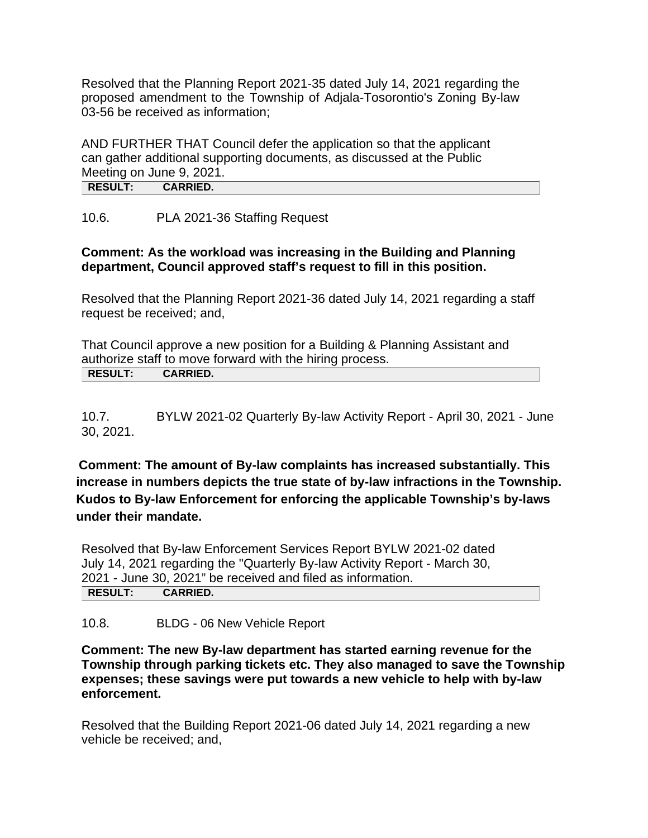Resolved that the Planning Report 2021-35 dated July 14, 2021 regarding the proposed amendment to the Township of Adjala-Tosorontio's Zoning By-law 03-56 be received as information;

AND FURTHER THAT Council defer the application so that the applicant can gather additional supporting documents, as discussed at the Public Meeting on June 9, 2021. **RESULT: CARRIED.**

10.6. PLA 2021-36 Staffing Request

## **Comment: As the workload was increasing in the Building and Planning department, Council approved staff's request to fill in this position.**

Resolved that the Planning Report 2021-36 dated July 14, 2021 regarding a staff request be received; and,

That Council approve a new position for a Building & Planning Assistant and authorize staff to move forward with the hiring process. **RESULT: CARRIED.**

10.7. BYLW 2021-02 Quarterly By-law Activity Report - April 30, 2021 - June 30, 2021.

**Comment: The amount of By-law complaints has increased substantially. This increase in numbers depicts the true state of by-law infractions in the Township. Kudos to By-law Enforcement for enforcing the applicable Township's by-laws under their mandate.**

Resolved that By-law Enforcement Services Report BYLW 2021-02 dated July 14, 2021 regarding the "Quarterly By-law Activity Report - March 30, 2021 - June 30, 2021" be received and filed as information. **RESULT: CARRIED.**

10.8. BLDG - 06 New Vehicle Report

**Comment: The new By-law department has started earning revenue for the Township through parking tickets etc. They also managed to save the Township expenses; these savings were put towards a new vehicle to help with by-law enforcement.**

Resolved that the Building Report 2021-06 dated July 14, 2021 regarding a new vehicle be received; and,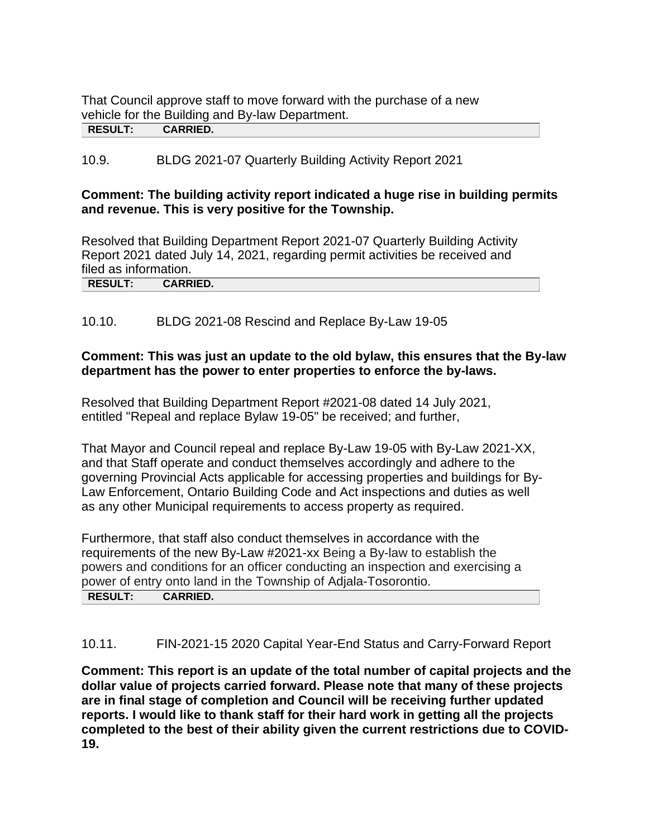That Council approve staff to move forward with the purchase of a new vehicle for the Building and By-law Department. **RESULT: CARRIED.**

# 10.9. BLDG 2021-07 Quarterly Building Activity Report 2021

## **Comment: The building activity report indicated a huge rise in building permits and revenue. This is very positive for the Township.**

Resolved that Building Department Report 2021-07 Quarterly Building Activity Report 2021 dated July 14, 2021, regarding permit activities be received and filed as information. **RESULT: CARRIED.**

10.10. BLDG 2021-08 Rescind and Replace By-Law 19-05

## **Comment: This was just an update to the old bylaw, this ensures that the By-law department has the power to enter properties to enforce the by-laws.**

Resolved that Building Department Report #2021-08 dated 14 July 2021, entitled "Repeal and replace Bylaw 19-05" be received; and further,

That Mayor and Council repeal and replace By-Law 19-05 with By-Law 2021-XX, and that Staff operate and conduct themselves accordingly and adhere to the governing Provincial Acts applicable for accessing properties and buildings for By-Law Enforcement, Ontario Building Code and Act inspections and duties as well as any other Municipal requirements to access property as required.

Furthermore, that staff also conduct themselves in accordance with the requirements of the new By-Law #2021-xx Being a By-law to establish the powers and conditions for an officer conducting an inspection and exercising a power of entry onto land in the Township of Adjala-Tosorontio. **RESULT: CARRIED.**

10.11. FIN-2021-15 2020 Capital Year-End Status and Carry-Forward Report

**Comment: This report is an update of the total number of capital projects and the dollar value of projects carried forward. Please note that many of these projects are in final stage of completion and Council will be receiving further updated reports. I would like to thank staff for their hard work in getting all the projects completed to the best of their ability given the current restrictions due to COVID-19.**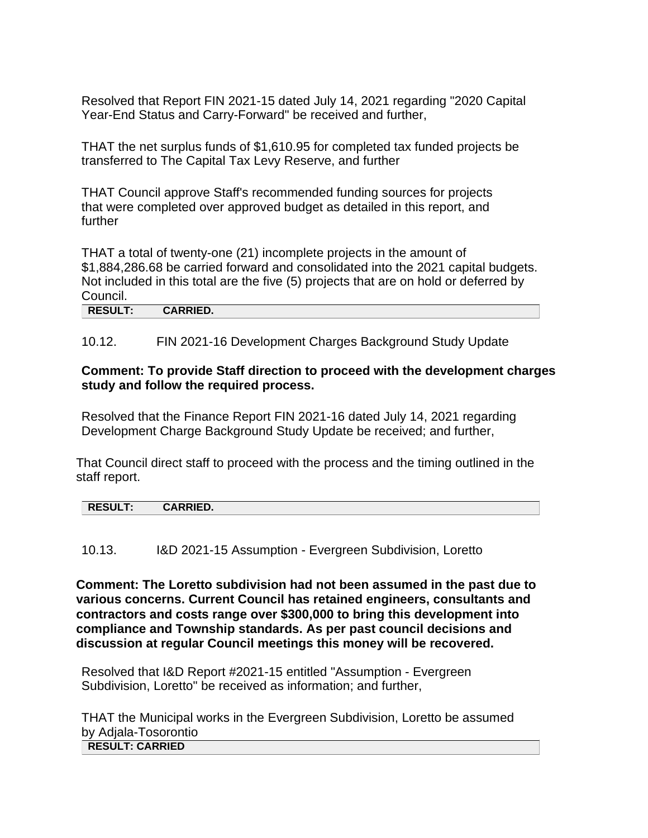Resolved that Report FIN 2021-15 dated July 14, 2021 regarding "2020 Capital Year-End Status and Carry-Forward" be received and further,

THAT the net surplus funds of \$1,610.95 for completed tax funded projects be transferred to The Capital Tax Levy Reserve, and further

THAT Council approve Staff's recommended funding sources for projects that were completed over approved budget as detailed in this report, and further

THAT a total of twenty-one (21) incomplete projects in the amount of \$1,884,286.68 be carried forward and consolidated into the 2021 capital budgets. Not included in this total are the five (5) projects that are on hold or deferred by Council.

**RESULT: CARRIED.**

10.12. FIN 2021-16 Development Charges Background Study Update

#### **Comment: To provide Staff direction to proceed with the development charges study and follow the required process.**

Resolved that the Finance Report FIN 2021-16 dated July 14, 2021 regarding Development Charge Background Study Update be received; and further,

That Council direct staff to proceed with the process and the timing outlined in the staff report.

| P<br><b>ADDIED</b><br><b>NEJULI.</b><br>ט∟ווווי |  |  |  |
|-------------------------------------------------|--|--|--|
|                                                 |  |  |  |

10.13. I&D 2021-15 Assumption - Evergreen Subdivision, Loretto

**Comment: The Loretto subdivision had not been assumed in the past due to various concerns. Current Council has retained engineers, consultants and contractors and costs range over \$300,000 to bring this development into compliance and Township standards. As per past council decisions and discussion at regular Council meetings this money will be recovered.** 

Resolved that I&D Report #2021-15 entitled "Assumption - Evergreen Subdivision, Loretto" be received as information; and further,

THAT the Municipal works in the Evergreen Subdivision, Loretto be assumed by Adjala-Tosorontio **RESULT: CARRIED**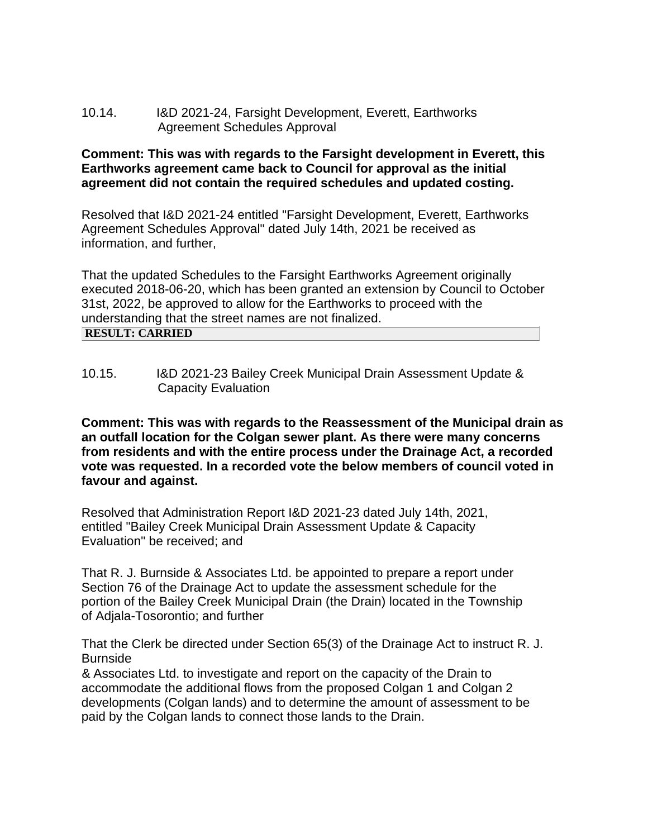## 10.14. I&D 2021-24, Farsight Development, Everett, Earthworks Agreement Schedules Approval

## **Comment: This was with regards to the Farsight development in Everett, this Earthworks agreement came back to Council for approval as the initial agreement did not contain the required schedules and updated costing.**

Resolved that I&D 2021-24 entitled "Farsight Development, Everett, Earthworks Agreement Schedules Approval" dated July 14th, 2021 be received as information, and further,

That the updated Schedules to the Farsight Earthworks Agreement originally executed 2018-06-20, which has been granted an extension by Council to October 31st, 2022, be approved to allow for the Earthworks to proceed with the understanding that the street names are not finalized. **RESULT: CARRIED**

10.15. I&D 2021-23 Bailey Creek Municipal Drain Assessment Update & Capacity Evaluation

**Comment: This was with regards to the Reassessment of the Municipal drain as an outfall location for the Colgan sewer plant. As there were many concerns from residents and with the entire process under the Drainage Act, a recorded vote was requested. In a recorded vote the below members of council voted in favour and against.** 

Resolved that Administration Report I&D 2021-23 dated July 14th, 2021, entitled "Bailey Creek Municipal Drain Assessment Update & Capacity Evaluation" be received; and

That R. J. Burnside & Associates Ltd. be appointed to prepare a report under Section 76 of the Drainage Act to update the assessment schedule for the portion of the Bailey Creek Municipal Drain (the Drain) located in the Township of Adjala-Tosorontio; and further

That the Clerk be directed under Section 65(3) of the Drainage Act to instruct R. J. Burnside

& Associates Ltd. to investigate and report on the capacity of the Drain to accommodate the additional flows from the proposed Colgan 1 and Colgan 2 developments (Colgan lands) and to determine the amount of assessment to be paid by the Colgan lands to connect those lands to the Drain.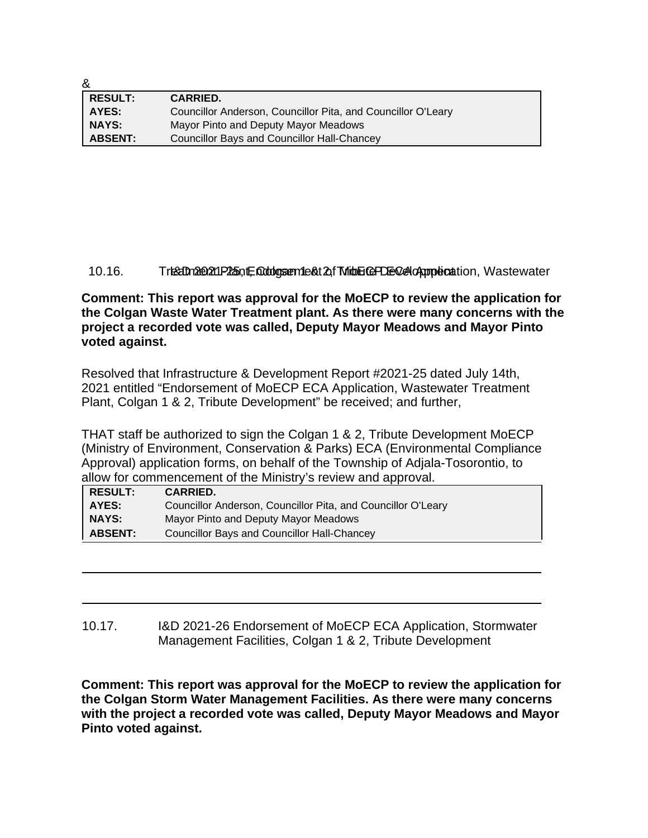| ăx             |                                                              |
|----------------|--------------------------------------------------------------|
| <b>RESULT:</b> | <b>CARRIED.</b>                                              |
| AYES:          | Councillor Anderson, Councillor Pita, and Councillor O'Leary |
| <b>NAYS:</b>   | Mayor Pinto and Deputy Mayor Meadows                         |
| <b>ABSENT:</b> | <b>Councillor Bays and Councillor Hall-Chancey</b>           |

 $\sim$ 

#### 10.16. Treatment Plant, Coldgan 1 and 2, Tribute PDE Colgan boation, Wastewater

**Comment: This report was approval for the MoECP to review the application for the Colgan Waste Water Treatment plant. As there were many concerns with the project a recorded vote was called, Deputy Mayor Meadows and Mayor Pinto voted against.**

Resolved that Infrastructure & Development Report #2021-25 dated July 14th, 2021 entitled "Endorsement of MoECP ECA Application, Wastewater Treatment Plant, Colgan 1 & 2, Tribute Development" be received; and further,

THAT staff be authorized to sign the Colgan 1 & 2, Tribute Development MoECP (Ministry of Environment, Conservation & Parks) ECA (Environmental Compliance Approval) application forms, on behalf of the Township of Adjala-Tosorontio, to allow for commencement of the Ministry's review and approval.

| <b>RESULT:</b> | <b>CARRIED.</b>                                              |
|----------------|--------------------------------------------------------------|
| AYES:          | Councillor Anderson, Councillor Pita, and Councillor O'Leary |
| <b>NAYS:</b>   | Mayor Pinto and Deputy Mayor Meadows                         |
| <b>ABSENT:</b> | <b>Councillor Bays and Councillor Hall-Chancey</b>           |

## 10.17. I&D 2021-26 Endorsement of MoECP ECA Application, Stormwater Management Facilities, Colgan 1 & 2, Tribute Development

**Comment: This report was approval for the MoECP to review the application for the Colgan Storm Water Management Facilities. As there were many concerns with the project a recorded vote was called, Deputy Mayor Meadows and Mayor Pinto voted against.**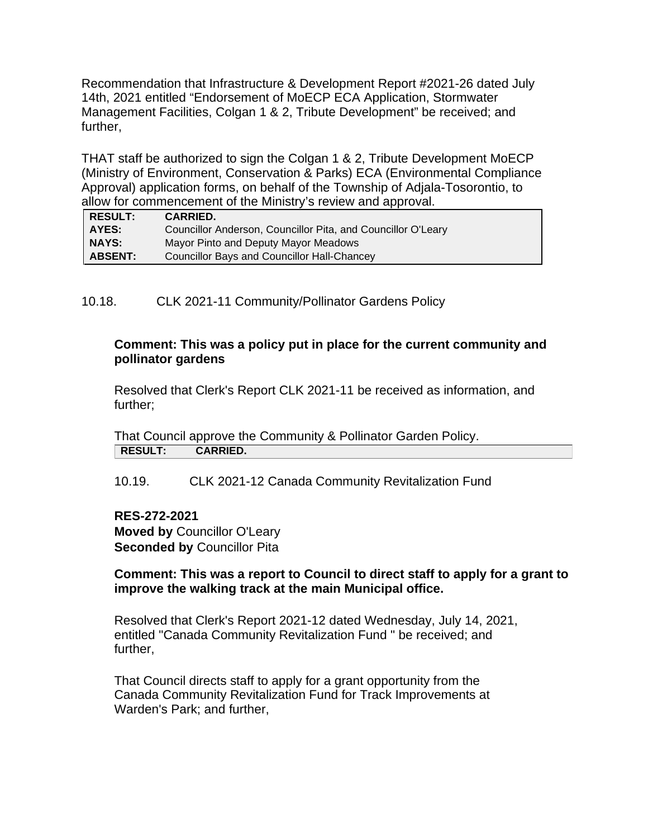Recommendation that Infrastructure & Development Report #2021-26 dated July 14th, 2021 entitled "Endorsement of MoECP ECA Application, Stormwater Management Facilities, Colgan 1 & 2, Tribute Development" be received; and further,

THAT staff be authorized to sign the Colgan 1 & 2, Tribute Development MoECP (Ministry of Environment, Conservation & Parks) ECA (Environmental Compliance Approval) application forms, on behalf of the Township of Adjala-Tosorontio, to allow for commencement of the Ministry's review and approval.

| <b>RESULT:</b> | <b>CARRIED.</b>                                              |
|----------------|--------------------------------------------------------------|
| <b>AYES:</b>   | Councillor Anderson, Councillor Pita, and Councillor O'Leary |
| <b>NAYS:</b>   | Mayor Pinto and Deputy Mayor Meadows                         |
| <b>ABSENT:</b> | Councillor Bays and Councillor Hall-Chancey                  |

10.18. CLK 2021-11 Community/Pollinator Gardens Policy

## **Comment: This was a policy put in place for the current community and pollinator gardens**

Resolved that Clerk's Report CLK 2021-11 be received as information, and further;

That Council approve the Community & Pollinator Garden Policy. **RESULT: CARRIED.**

10.19. CLK 2021-12 Canada Community Revitalization Fund

## **RES-272-2021**

**Moved by** Councillor O'Leary **Seconded by** Councillor Pita

## **Comment: This was a report to Council to direct staff to apply for a grant to improve the walking track at the main Municipal office.**

Resolved that Clerk's Report 2021-12 dated Wednesday, July 14, 2021, entitled "Canada Community Revitalization Fund " be received; and further,

That Council directs staff to apply for a grant opportunity from the Canada Community Revitalization Fund for Track Improvements at Warden's Park; and further,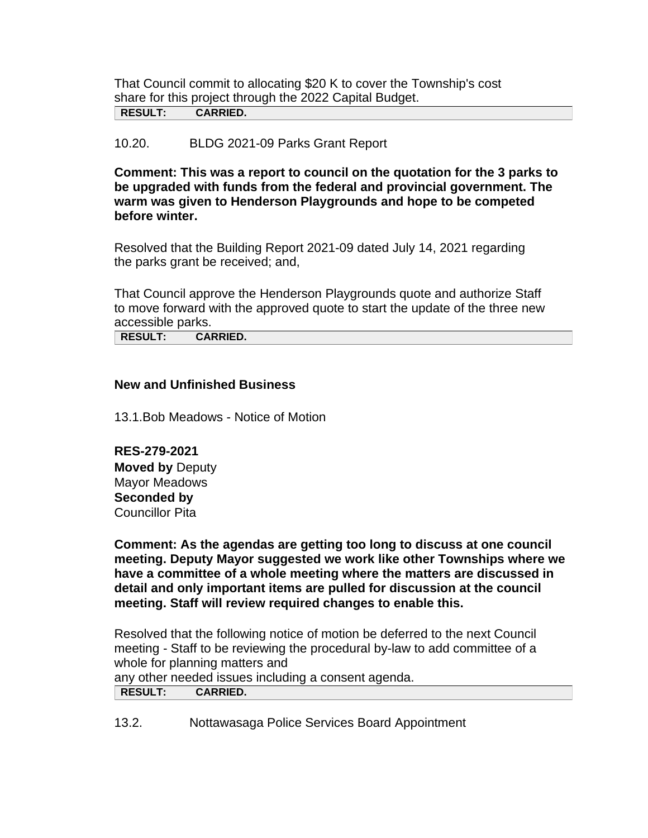That Council commit to allocating \$20 K to cover the Township's cost share for this project through the 2022 Capital Budget. **RESULT: CARRIED.**

## 10.20. BLDG 2021-09 Parks Grant Report

**Comment: This was a report to council on the quotation for the 3 parks to be upgraded with funds from the federal and provincial government. The warm was given to Henderson Playgrounds and hope to be competed before winter.** 

Resolved that the Building Report 2021-09 dated July 14, 2021 regarding the parks grant be received; and,

That Council approve the Henderson Playgrounds quote and authorize Staff to move forward with the approved quote to start the update of the three new accessible parks.

**RESULT: CARRIED.**

#### **New and Unfinished Business**

13.1.Bob Meadows - Notice of Motion

**RES-279-2021 Moved by** Deputy Mayor Meadows **Seconded by** Councillor Pita

**Comment: As the agendas are getting too long to discuss at one council meeting. Deputy Mayor suggested we work like other Townships where we have a committee of a whole meeting where the matters are discussed in detail and only important items are pulled for discussion at the council meeting. Staff will review required changes to enable this.**

Resolved that the following notice of motion be deferred to the next Council meeting - Staff to be reviewing the procedural by-law to add committee of a whole for planning matters and any other needed issues including a consent agenda.

|--|

13.2. Nottawasaga Police Services Board Appointment